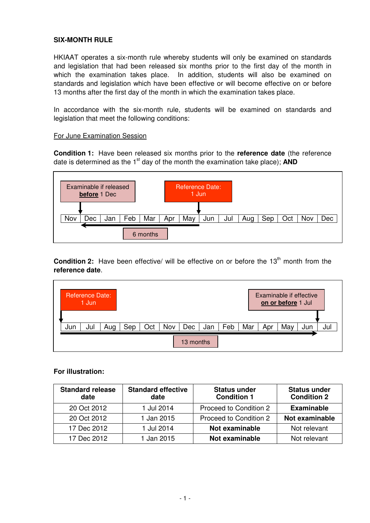## **SIX-MONTH RULE**

HKIAAT operates a six-month rule whereby students will only be examined on standards and legislation that had been released six months prior to the first day of the month in which the examination takes place. In addition, students will also be examined on standards and legislation which have been effective or will become effective on or before 13 months after the first day of the month in which the examination takes place.

In accordance with the six-month rule, students will be examined on standards and legislation that meet the following conditions:

#### For June Examination Session

**Condition 1:** Have been released six months prior to the **reference date** (the reference date is determined as the  $1<sup>st</sup>$  day of the month the examination take place); **AND** 



**Condition 2:** Have been effective/ will be effective on or before the 13<sup>th</sup> month from the **reference date**.



#### **For illustration:**

| <b>Standard release</b><br>date | <b>Standard effective</b><br>date | <b>Status under</b><br><b>Condition 1</b> | <b>Status under</b><br><b>Condition 2</b> |
|---------------------------------|-----------------------------------|-------------------------------------------|-------------------------------------------|
| 20 Oct 2012                     | 1 Jul 2014                        | Proceed to Condition 2                    | <b>Examinable</b>                         |
| 20 Oct 2012                     | 1 Jan 2015                        | Proceed to Condition 2                    | Not examinable                            |
| 17 Dec 2012                     | 1 Jul 2014                        | Not examinable                            | Not relevant                              |
| 17 Dec 2012                     | 1 Jan 2015                        | Not examinable                            | Not relevant                              |